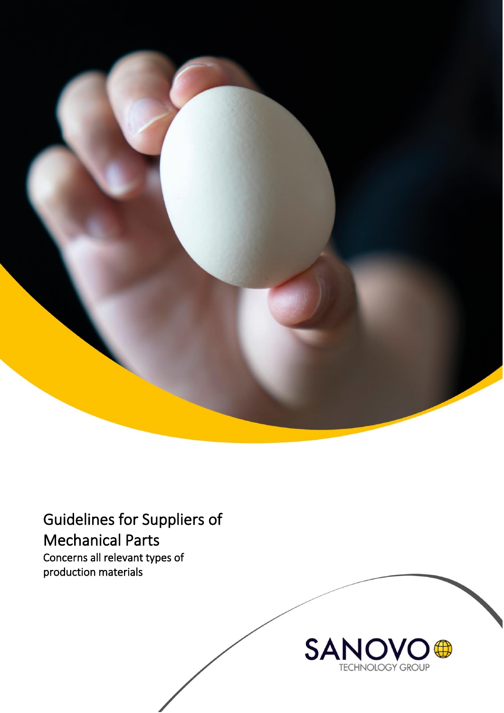

Guidelines for Suppliers of Mechanical Parts Concerns all relevant types of

production materials

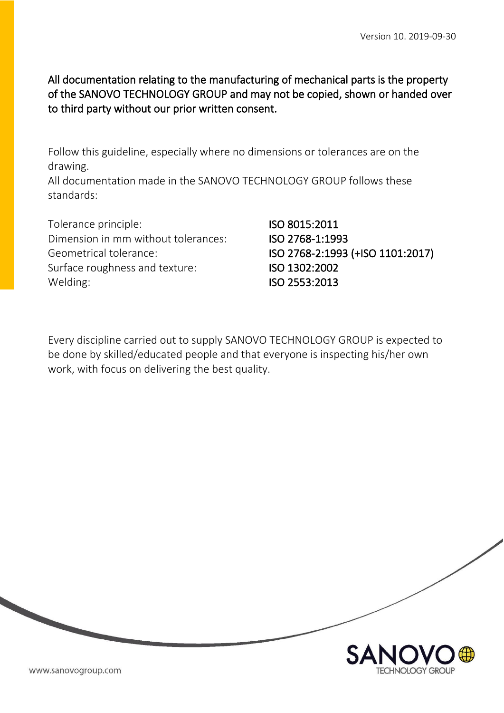All documentation relating to the manufacturing of mechanical parts is the property of the SANOVO TECHNOLOGY GROUP and may not be copied, shown or handed over to third party without our prior written consent.

Follow this guideline, especially where no dimensions or tolerances are on the drawing.

All documentation made in the SANOVO TECHNOLOGY GROUP follows these standards:

Tolerance principle: **ISO 8015:2011** Dimension in mm without tolerances: ISO 2768-1:1993 Geometrical tolerance: ISO 2768-2:1993 (+ISO 1101:2017) Surface roughness and texture: **ISO 1302:2002** Welding: ISO 2553:2013

Every discipline carried out to supply SANOVO TECHNOLOGY GROUP is expected to be done by skilled/educated people and that everyone is inspecting his/her own work, with focus on delivering the best quality.

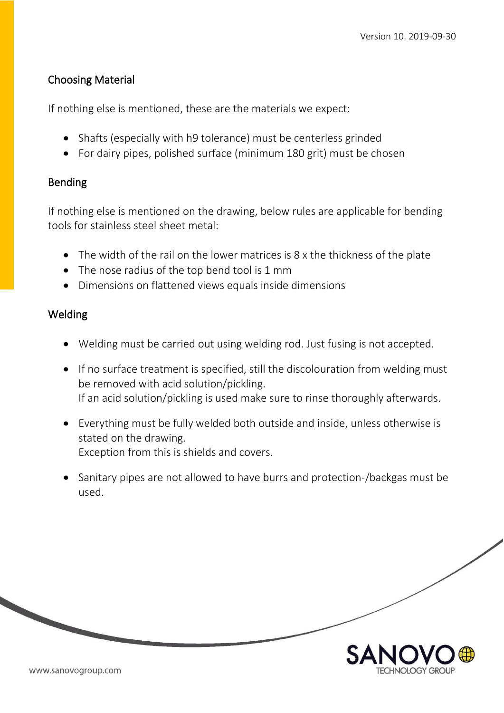## Choosing Material

If nothing else is mentioned, these are the materials we expect:

- Shafts (especially with h9 tolerance) must be centerless grinded
- For dairy pipes, polished surface (minimum 180 grit) must be chosen

## Bending

If nothing else is mentioned on the drawing, below rules are applicable for bending tools for stainless steel sheet metal:

- The width of the rail on the lower matrices is 8 x the thickness of the plate
- The nose radius of the top bend tool is 1 mm
- Dimensions on flattened views equals inside dimensions

# Welding

- Welding must be carried out using welding rod. Just fusing is not accepted.
- If no surface treatment is specified, still the discolouration from welding must be removed with acid solution/pickling. If an acid solution/pickling is used make sure to rinse thoroughly afterwards.
- Everything must be fully welded both outside and inside, unless otherwise is stated on the drawing. Exception from this is shields and covers.
- Sanitary pipes are not allowed to have burrs and protection-/backgas must be used.

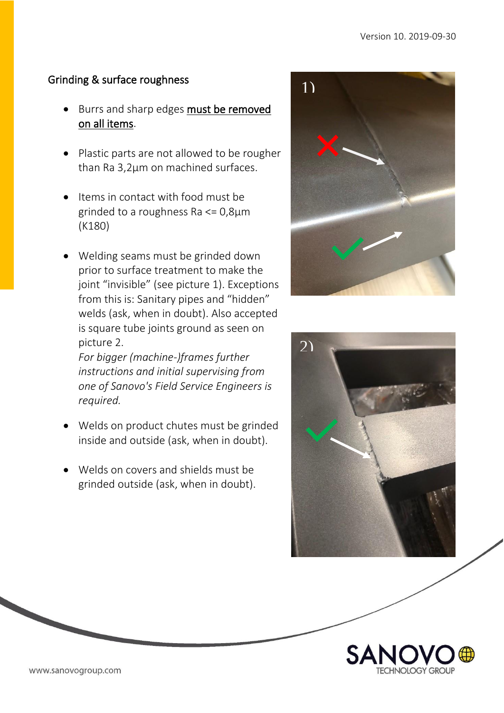## Grinding & surface roughness

- Burrs and sharp edges must be removed on all items.
- Plastic parts are not allowed to be rougher than Ra 3,2µm on machined surfaces.
- Items in contact with food must be grinded to a roughness Ra <= 0,8µm (K180)
- Welding seams must be grinded down prior to surface treatment to make the joint "invisible" (see picture 1). Exceptions from this is: Sanitary pipes and "hidden" welds (ask, when in doubt). Also accepted is square tube joints ground as seen on picture 2.

*For bigger (machine-)frames further instructions and initial supervising from one of Sanovo's Field Service Engineers is required.*

- Welds on product chutes must be grinded inside and outside (ask, when in doubt).
- Welds on covers and shields must be grinded outside (ask, when in doubt).





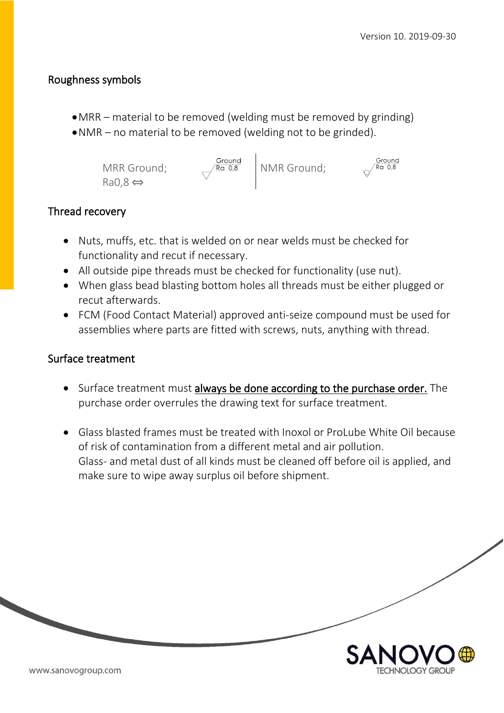#### Roughness symbols

- •MRR material to be removed (welding must be removed by grinding)
- •NMR no material to be removed (welding not to be grinded).



## Thread recovery

- Nuts, muffs, etc. that is welded on or near welds must be checked for functionality and recut if necessary.
- All outside pipe threads must be checked for functionality (use nut).
- When glass bead blasting bottom holes all threads must be either plugged or recut afterwards.
- FCM (Food Contact Material) approved anti-seize compound must be used for assemblies where parts are fitted with screws, nuts, anything with thread.

#### Surface treatment

- Surface treatment must always be done according to the purchase order. The purchase order overrules the drawing text for surface treatment.
- Glass blasted frames must be treated with Inoxol or ProLube White Oil because of risk of contamination from a different metal and air pollution. Glass- and metal dust of all kinds must be cleaned off before oil is applied, and make sure to wipe away surplus oil before shipment.

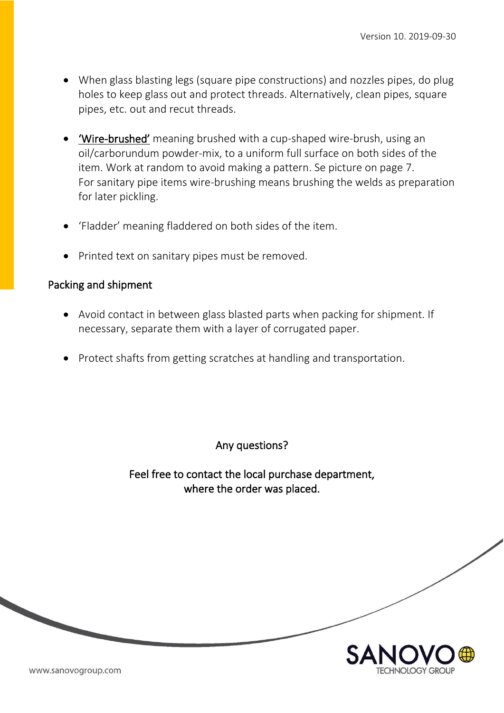- When glass blasting legs (square pipe constructions) and nozzles pipes, do plug holes to keep glass out and protect threads. Alternatively, clean pipes, square pipes, etc. out and recut threads.
- 'Wire-brushed' meaning brushed with a cup-shaped wire-brush, using an oil/carborundum powder-mix, to a uniform full surface on both sides of the item. Work at random to avoid making a pattern. Se picture on page 7. For sanitary pipe items wire-brushing means brushing the welds as preparation for later pickling.
- 'Fladder' meaning fladdered on both sides of the item.
- Printed text on sanitary pipes must be removed.

#### Packing and shipment

- Avoid contact in between glass blasted parts when packing for shipment. If necessary, separate them with a layer of corrugated paper.
- Protect shafts from getting scratches at handling and transportation.

Any questions?

Feel free to contact the local purchase department, where the order was placed.

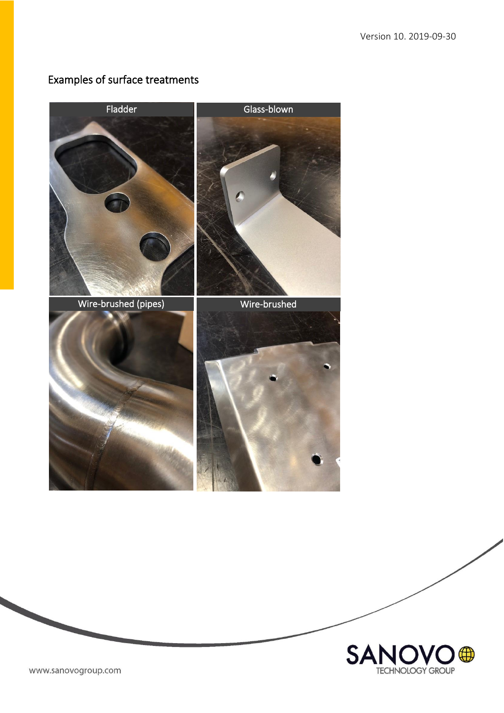# Examples of surface treatments





www.sanovogroup.com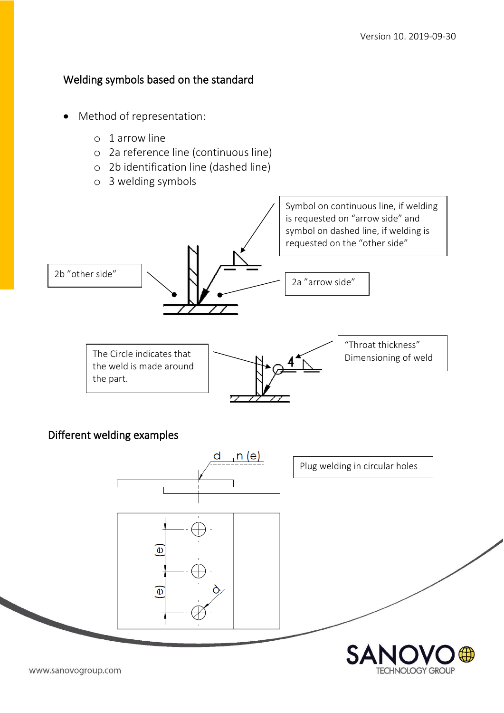**TECHNOLOGY GROUP** 

#### Welding symbols based on the standard

- Method of representation:
	- o 1 arrow line
	- o 2a reference line (continuous line)
	- o 2b identification line (dashed line)
	- o 3 welding symbols



Different welding examples